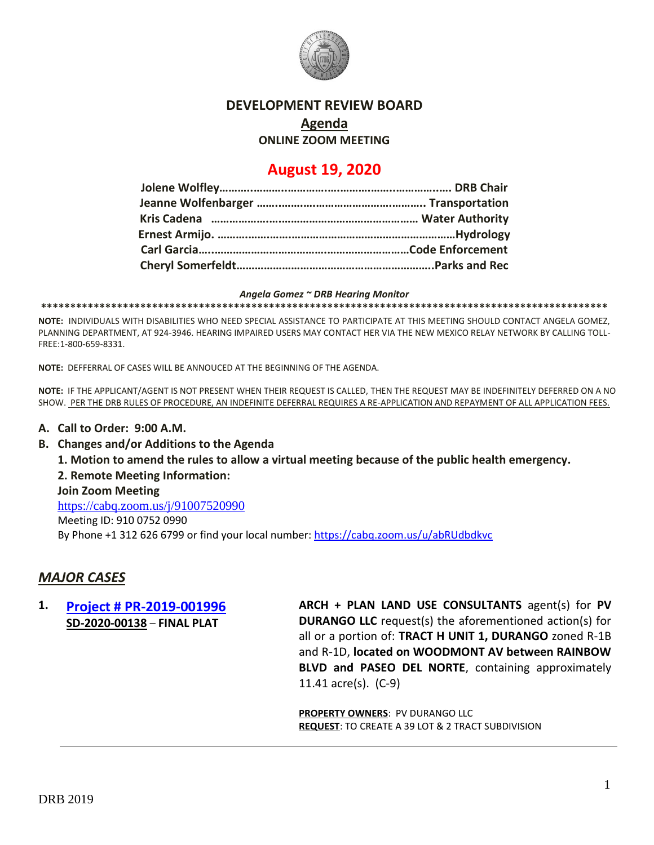

### **DEVELOPMENT REVIEW BOARD**

## **Agenda**

**ONLINE ZOOM MEETING**

# **August 19, 2020**

#### *Angela Gomez ~ DRB Hearing Monitor*

**\*\*\*\*\*\*\*\*\*\*\*\*\*\*\*\*\*\*\*\*\*\*\*\*\*\*\*\*\*\*\*\*\*\*\*\*\*\*\*\*\*\*\*\*\*\*\*\*\*\*\*\*\*\*\*\*\*\*\*\*\*\*\*\*\*\*\*\*\*\*\*\*\*\*\*\*\*\*\*\*\*\*\*\*\*\*\*\*\*\*\*\*\*\*\*\*\***

**NOTE:** INDIVIDUALS WITH DISABILITIES WHO NEED SPECIAL ASSISTANCE TO PARTICIPATE AT THIS MEETING SHOULD CONTACT ANGELA GOMEZ, PLANNING DEPARTMENT, AT 924-3946. HEARING IMPAIRED USERS MAY CONTACT HER VIA THE NEW MEXICO RELAY NETWORK BY CALLING TOLL-FREE:1-800-659-8331.

**NOTE:** DEFFERRAL OF CASES WILL BE ANNOUCED AT THE BEGINNING OF THE AGENDA.

**NOTE:** IF THE APPLICANT/AGENT IS NOT PRESENT WHEN THEIR REQUEST IS CALLED, THEN THE REQUEST MAY BE INDEFINITELY DEFERRED ON A NO SHOW. PER THE DRB RULES OF PROCEDURE, AN INDEFINITE DEFERRAL REQUIRES A RE-APPLICATION AND REPAYMENT OF ALL APPLICATION FEES.

### **A. Call to Order: 9:00 A.M.**

- **B. Changes and/or Additions to the Agenda**
	- **1. Motion to amend the rules to allow a virtual meeting because of the public health emergency.**

**2. Remote Meeting Information:**

#### **Join Zoom Meeting**

<https://cabq.zoom.us/j/91007520990> Meeting ID: 910 0752 0990 By Phone +1 312 626 6799 or find your local number:<https://cabq.zoom.us/u/abRUdbdkvc>

### *MAJOR CASES*

### **1. [Project # PR-2019-001996](http://data.cabq.gov/government/planning/DRB/PR-2019-001996/DRB%20Submittals/PR-2019-001996_Aug_19_2020/Application/PR%202018-001996%20FINAL%20PLAT.pdf) SD-2020-00138** – **FINAL PLAT**

**ARCH + PLAN LAND USE CONSULTANTS** agent(s) for **PV DURANGO LLC** request(s) the aforementioned action(s) for all or a portion of: **TRACT H UNIT 1, DURANGO** zoned R-1B and R-1D, **located on WOODMONT AV between RAINBOW BLVD and PASEO DEL NORTE**, containing approximately 11.41 acre(s). (C-9)

**PROPERTY OWNERS**: PV DURANGO LLC **REQUEST**: TO CREATE A 39 LOT & 2 TRACT SUBDIVISION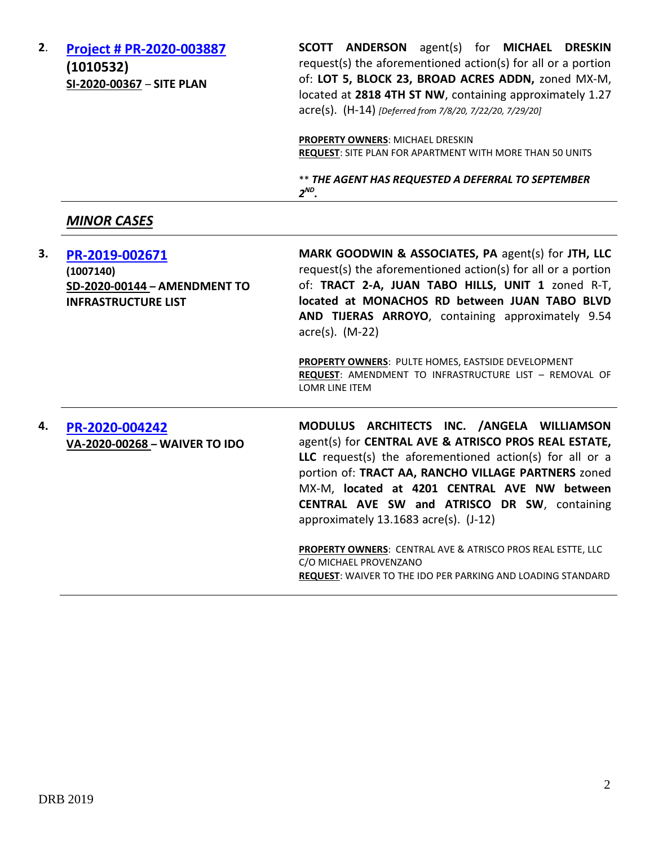| 2. | Project # PR-2020-003887<br>(1010532)<br>SI-2020-00367 - SITE PLAN                        | SCOTT ANDERSON agent(s) for MICHAEL DRESKIN<br>request(s) the aforementioned action(s) for all or a portion<br>of: LOT 5, BLOCK 23, BROAD ACRES ADDN, zoned MX-M,<br>located at 2818 4TH ST NW, containing approximately 1.27<br>acre(s). (H-14) [Deferred from 7/8/20, 7/22/20, 7/29/20]                                                                      |
|----|-------------------------------------------------------------------------------------------|----------------------------------------------------------------------------------------------------------------------------------------------------------------------------------------------------------------------------------------------------------------------------------------------------------------------------------------------------------------|
|    |                                                                                           | PROPERTY OWNERS: MICHAEL DRESKIN<br><b>REQUEST:</b> SITE PLAN FOR APARTMENT WITH MORE THAN 50 UNITS                                                                                                                                                                                                                                                            |
|    |                                                                                           | ** THE AGENT HAS REQUESTED A DEFERRAL TO SEPTEMBER<br>$2^{ND}$ .                                                                                                                                                                                                                                                                                               |
|    | <b>MINOR CASES</b>                                                                        |                                                                                                                                                                                                                                                                                                                                                                |
| 3. | PR-2019-002671<br>(1007140)<br>SD-2020-00144 - AMENDMENT TO<br><b>INFRASTRUCTURE LIST</b> | MARK GOODWIN & ASSOCIATES, PA agent(s) for JTH, LLC<br>request(s) the aforementioned action(s) for all or a portion<br>of: TRACT 2-A, JUAN TABO HILLS, UNIT 1 zoned R-T,<br>located at MONACHOS RD between JUAN TABO BLVD<br>AND TIJERAS ARROYO, containing approximately 9.54<br>acre(s). (M-22)<br>PROPERTY OWNERS: PULTE HOMES, EASTSIDE DEVELOPMENT        |
|    |                                                                                           | REQUEST: AMENDMENT TO INFRASTRUCTURE LIST - REMOVAL OF<br>LOMR LINE ITEM                                                                                                                                                                                                                                                                                       |
| 4. | PR-2020-004242<br>VA-2020-00268 - WAIVER TO IDO                                           | MODULUS ARCHITECTS INC. /ANGELA WILLIAMSON<br>agent(s) for CENTRAL AVE & ATRISCO PROS REAL ESTATE,<br>LLC request(s) the aforementioned action(s) for all or a<br>portion of: TRACT AA, RANCHO VILLAGE PARTNERS zoned<br>MX-M, located at 4201 CENTRAL AVE NW between<br>CENTRAL AVE SW and ATRISCO DR SW, containing<br>approximately 13.1683 acre(s). (J-12) |
|    |                                                                                           | PROPERTY OWNERS: CENTRAL AVE & ATRISCO PROS REAL ESTTE, LLC<br>C/O MICHAEL PROVENZANO<br>REQUEST: WAIVER TO THE IDO PER PARKING AND LOADING STANDARD                                                                                                                                                                                                           |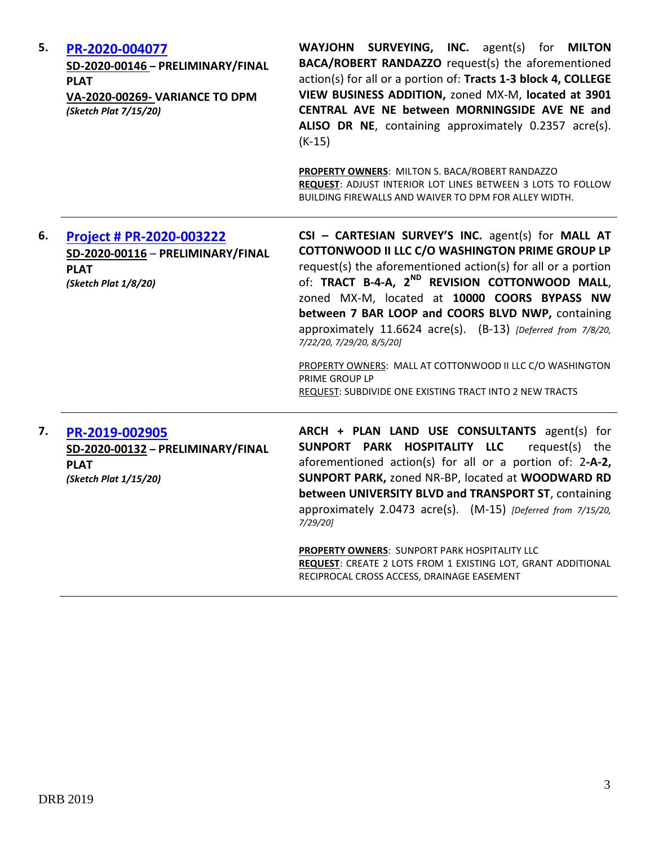| 5. | PR-2020-004077<br>SD-2020-00146 - PRELIMINARY/FINAL<br><b>PLAT</b><br>VA-2020-00269- VARIANCE TO DPM<br>(Sketch Plat 7/15/20) | WAYJOHN SURVEYING, INC. agent(s) for MILTON<br>BACA/ROBERT RANDAZZO request(s) the aforementioned<br>action(s) for all or a portion of: Tracts 1-3 block 4, COLLEGE<br>VIEW BUSINESS ADDITION, zoned MX-M, located at 3901<br>CENTRAL AVE NE between MORNINGSIDE AVE NE and<br>ALISO DR NE, containing approximately 0.2357 acre(s).<br>$(K-15)$<br>PROPERTY OWNERS: MILTON S. BACA/ROBERT RANDAZZO<br>REQUEST: ADJUST INTERIOR LOT LINES BETWEEN 3 LOTS TO FOLLOW<br>BUILDING FIREWALLS AND WAIVER TO DPM FOR ALLEY WIDTH.                                                     |
|----|-------------------------------------------------------------------------------------------------------------------------------|---------------------------------------------------------------------------------------------------------------------------------------------------------------------------------------------------------------------------------------------------------------------------------------------------------------------------------------------------------------------------------------------------------------------------------------------------------------------------------------------------------------------------------------------------------------------------------|
| 6. | <b>Project # PR-2020-003222</b><br>SD-2020-00116 - PRELIMINARY/FINAL<br><b>PLAT</b><br>(Sketch Plat 1/8/20)                   | CSI - CARTESIAN SURVEY'S INC. agent(s) for MALL AT<br>COTTONWOOD II LLC C/O WASHINGTON PRIME GROUP LP<br>request(s) the aforementioned action(s) for all or a portion<br>of: TRACT B-4-A, 2 <sup>ND</sup> REVISION COTTONWOOD MALL,<br>zoned MX-M, located at 10000 COORS BYPASS NW<br>between 7 BAR LOOP and COORS BLVD NWP, containing<br>approximately 11.6624 acre(s). (B-13) [Deferred from 7/8/20,<br>7/22/20, 7/29/20, 8/5/20]<br>PROPERTY OWNERS: MALL AT COTTONWOOD II LLC C/O WASHINGTON<br>PRIME GROUP LP<br>REQUEST: SUBDIVIDE ONE EXISTING TRACT INTO 2 NEW TRACTS |
| 7. | PR-2019-002905<br>SD-2020-00132 - PRELIMINARY/FINAL<br><b>PLAT</b><br>(Sketch Plat 1/15/20)                                   | ARCH + PLAN LAND USE CONSULTANTS agent(s) for<br>SUNPORT PARK HOSPITALITY LLC<br>request(s) the<br>aforementioned action(s) for all or a portion of: 2-A-2,<br>SUNPORT PARK, zoned NR-BP, located at WOODWARD RD<br>between UNIVERSITY BLVD and TRANSPORT ST, containing<br>approximately 2.0473 acre(s). (M-15) [Deferred from 7/15/20,<br>7/29/20]<br>PROPERTY OWNERS: SUNPORT PARK HOSPITALITY LLC<br><b>REQUEST:</b> CREATE 2 LOTS FROM 1 EXISTING LOT, GRANT ADDITIONAL<br>RECIPROCAL CROSS ACCESS, DRAINAGE EASEMENT                                                      |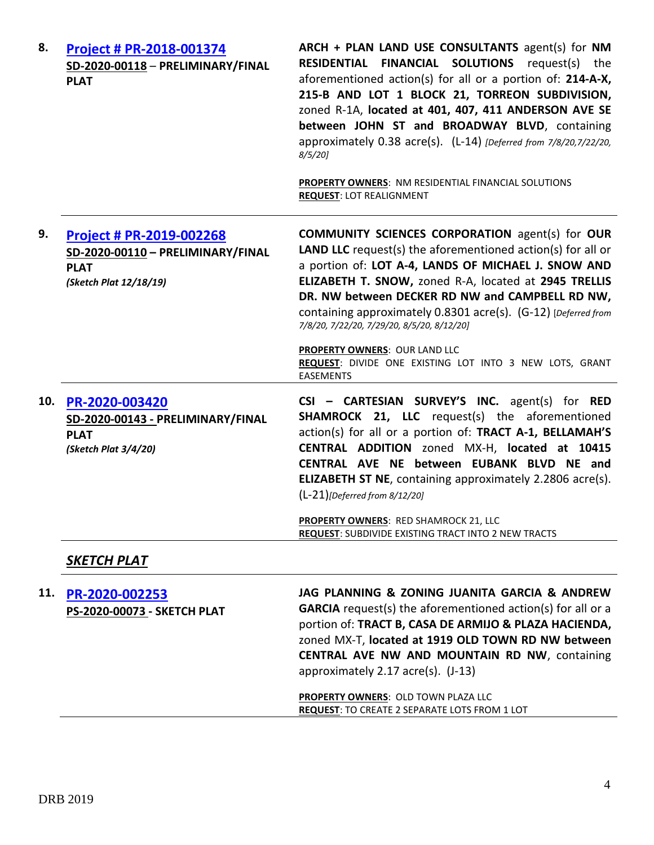| 8.  | Project # PR-2018-001374<br>SD-2020-00118 - PRELIMINARY/FINAL<br><b>PLAT</b>                           | ARCH + PLAN LAND USE CONSULTANTS agent(s) for NM<br><b>RESIDENTIAL FINANCIAL SOLUTIONS</b> request(s) the<br>aforementioned action(s) for all or a portion of: 214-A-X,<br>215-B AND LOT 1 BLOCK 21, TORREON SUBDIVISION,<br>zoned R-1A, located at 401, 407, 411 ANDERSON AVE SE<br>between JOHN ST and BROADWAY BLVD, containing<br>approximately 0.38 acre(s). (L-14) [Deferred from 7/8/20,7/22/20,<br>$8/5/20$ ]<br>PROPERTY OWNERS: NM RESIDENTIAL FINANCIAL SOLUTIONS<br><b>REQUEST: LOT REALIGNMENT</b> |
|-----|--------------------------------------------------------------------------------------------------------|-----------------------------------------------------------------------------------------------------------------------------------------------------------------------------------------------------------------------------------------------------------------------------------------------------------------------------------------------------------------------------------------------------------------------------------------------------------------------------------------------------------------|
| 9.  | Project # PR-2019-002268<br>SD-2020-00110 - PRELIMINARY/FINAL<br><b>PLAT</b><br>(Sketch Plat 12/18/19) | <b>COMMUNITY SCIENCES CORPORATION agent(s) for OUR</b><br>LAND LLC request(s) the aforementioned action(s) for all or<br>a portion of: LOT A-4, LANDS OF MICHAEL J. SNOW AND<br>ELIZABETH T. SNOW, zoned R-A, located at 2945 TRELLIS<br>DR. NW between DECKER RD NW and CAMPBELL RD NW,<br>containing approximately 0.8301 acre(s). (G-12) [Deferred from<br>7/8/20, 7/22/20, 7/29/20, 8/5/20, 8/12/20]                                                                                                        |
|     |                                                                                                        | PROPERTY OWNERS: OUR LAND LLC<br>REQUEST: DIVIDE ONE EXISTING LOT INTO 3 NEW LOTS, GRANT<br><b>EASEMENTS</b>                                                                                                                                                                                                                                                                                                                                                                                                    |
| 10. | PR-2020-003420<br>SD-2020-00143 - PRELIMINARY/FINAL<br><b>PLAT</b><br>(Sketch Plat 3/4/20)             | $CSI - CARTESIAN$ SURVEY'S INC. agent(s) for RED<br><b>SHAMROCK 21, LLC</b> request(s) the aforementioned<br>action(s) for all or a portion of: TRACT A-1, BELLAMAH'S<br>CENTRAL ADDITION zoned MX-H, located at 10415<br>CENTRAL AVE NE between EUBANK BLVD NE and<br><b>ELIZABETH ST NE, containing approximately 2.2806 acre(s).</b><br>$(L-21)$ [Deferred from 8/12/20]<br><b>PROPERTY OWNERS: RED SHAMROCK 21, LLC</b><br><b>REQUEST: SUBDIVIDE EXISTING TRACT INTO 2 NEW TRACTS</b>                       |
|     | <b>SKETCH PLAT</b>                                                                                     |                                                                                                                                                                                                                                                                                                                                                                                                                                                                                                                 |
| 11. | PR-2020-002253<br>PS-2020-00073 - SKETCH PLAT                                                          | JAG PLANNING & ZONING JUANITA GARCIA & ANDREW<br><b>GARCIA</b> request(s) the aforementioned action(s) for all or a<br>portion of: TRACT B, CASA DE ARMIJO & PLAZA HACIENDA,<br>zoned MX-T, located at 1919 OLD TOWN RD NW between<br>CENTRAL AVE NW AND MOUNTAIN RD NW, containing<br>approximately 2.17 acre(s). (J-13)<br>PROPERTY OWNERS: OLD TOWN PLAZA LLC<br><b>REQUEST: TO CREATE 2 SEPARATE LOTS FROM 1 LOT</b>                                                                                        |